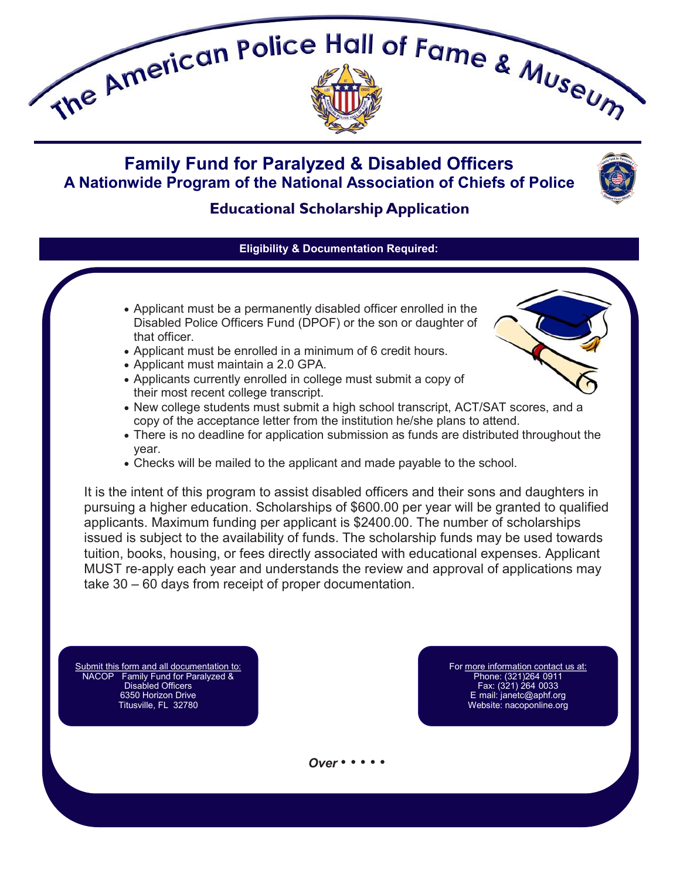

# **Family Fund for Paralyzed & Disabled Officers A Nationwide Program of the National Association of Chiefs of Police**



## **Educational Scholarship Application**

### **Eligibility & Documentation Required:**

- Applicant must be a permanently disabled officer enrolled in the Disabled Police Officers Fund (DPOF) or the son or daughter of that officer.
- Applicant must be enrolled in a minimum of 6 credit hours.
- Applicant must maintain a 2.0 GPA.
- Applicants currently enrolled in college must submit a copy of their most recent college transcript.
- New college students must submit a high school transcript, ACT/SAT scores, and a copy of the acceptance letter from the institution he/she plans to attend.
- There is no deadline for application submission as funds are distributed throughout the year.
- Checks will be mailed to the applicant and made payable to the school.

It is the intent of this program to assist disabled officers and their sons and daughters in pursuing a higher education. Scholarships of \$600.00 per year will be granted to qualified applicants. Maximum funding per applicant is \$2400.00. The number of scholarships issued is subject to the availability of funds. The scholarship funds may be used towards tuition, books, housing, or fees directly associated with educational expenses. Applicant MUST re-apply each year and understands the review and approval of applications may take 30 – 60 days from receipt of proper documentation.

Submit this form and all documentation to: NACOP Family Fund for Paralyzed & Disabled Officers 6350 Horizon Drive Titusville, FL 32780

For more information contact us at: Phone: (321)264-0911 Fax: (321) 264-0033 E-mail: janetc@aphf.org Website: nacoponline.org

#### *Over* • • • • •